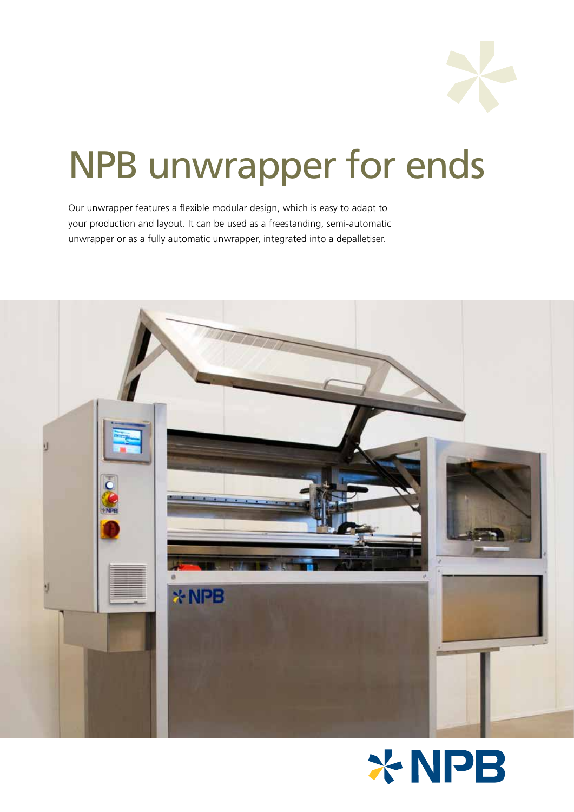

# NPB unwrapper for ends

Our unwrapper features a flexible modular design, which is easy to adapt to your production and layout. It can be used as a freestanding, semi-automatic unwrapper or as a fully automatic unwrapper, integrated into a depalletiser.